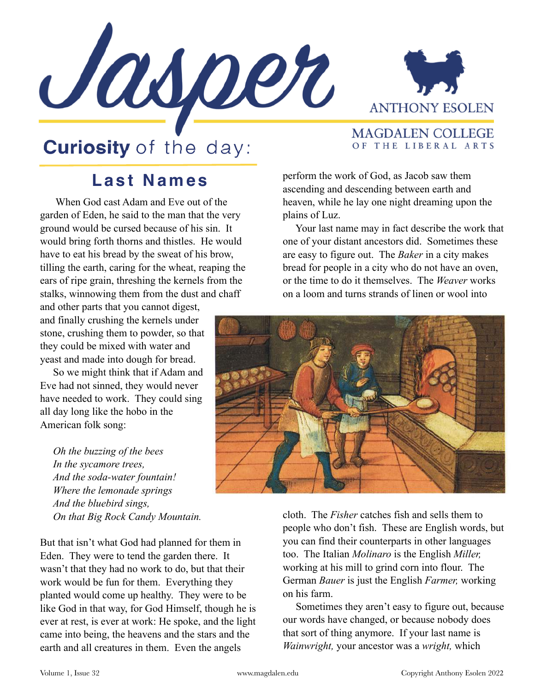



## **Curiosity** of the day:

## MAGDALEN COLLEGE OF THE LIBERAL ARTS

## **Last Names**

 When God cast Adam and Eve out of the garden of Eden, he said to the man that the very ground would be cursed because of his sin. It would bring forth thorns and thistles. He would have to eat his bread by the sweat of his brow, tilling the earth, caring for the wheat, reaping the ears of ripe grain, threshing the kernels from the stalks, winnowing them from the dust and chaff

and other parts that you cannot digest, and finally crushing the kernels under stone, crushing them to powder, so that they could be mixed with water and yeast and made into dough for bread.

 So we might think that if Adam and Eve had not sinned, they would never have needed to work. They could sing all day long like the hobo in the American folk song:

 *Oh the buzzing of the bees In the sycamore trees, And the soda-water fountain! Where the lemonade springs And the bluebird sings, On that Big Rock Candy Mountain.*

But that isn't what God had planned for them in Eden. They were to tend the garden there. It wasn't that they had no work to do, but that their work would be fun for them. Everything they planted would come up healthy. They were to be like God in that way, for God Himself, though he is ever at rest, is ever at work: He spoke, and the light came into being, the heavens and the stars and the earth and all creatures in them. Even the angels

perform the work of God, as Jacob saw them ascending and descending between earth and heaven, while he lay one night dreaming upon the plains of Luz.

 Your last name may in fact describe the work that one of your distant ancestors did. Sometimes these are easy to figure out. The *Baker* in a city makes bread for people in a city who do not have an oven, or the time to do it themselves. The *Weaver* works on a loom and turns strands of linen or wool into



cloth. The *Fisher* catches fish and sells them to people who don't fish. These are English words, but you can find their counterparts in other languages too. The Italian *Molinaro* is the English *Miller,*  working at his mill to grind corn into flour. The German *Bauer* is just the English *Farmer,* working on his farm.

 Sometimes they aren't easy to figure out, because our words have changed, or because nobody does that sort of thing anymore. If your last name is *Wainwright,* your ancestor was a *wright,* which